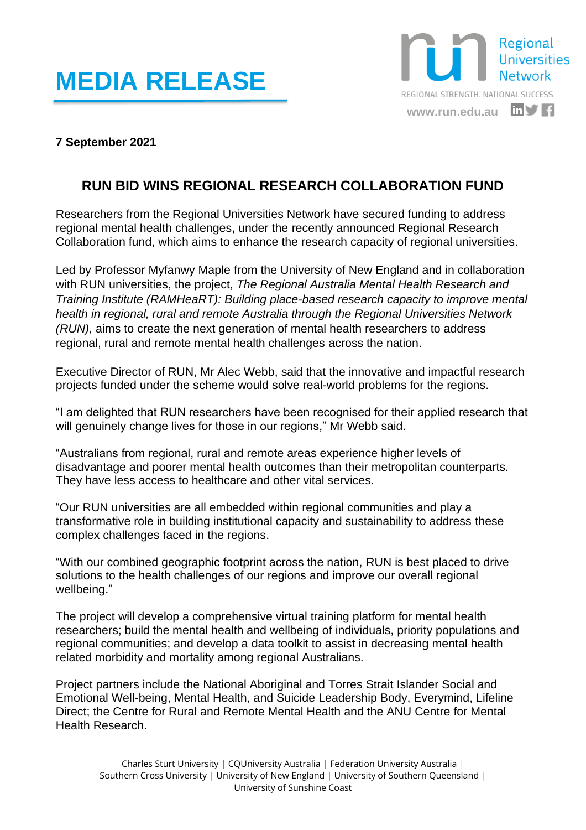## **MEDIA RELEASE**



## **7 September 2021**

## **RUN BID WINS REGIONAL RESEARCH COLLABORATION FUND**

Researchers from the Regional Universities Network have secured funding to address regional mental health challenges, under the recently announced Regional Research Collaboration fund, which aims to enhance the research capacity of regional universities.

Led by Professor Myfanwy Maple from the University of New England and in collaboration with RUN universities, the project, *The Regional Australia Mental Health Research and Training Institute (RAMHeaRT): Building place-based research capacity to improve mental health in regional, rural and remote Australia through the Regional Universities Network (RUN),* aims to create the next generation of mental health researchers to address regional, rural and remote mental health challenges across the nation.

Executive Director of RUN, Mr Alec Webb, said that the innovative and impactful research projects funded under the scheme would solve real-world problems for the regions.

"I am delighted that RUN researchers have been recognised for their applied research that will genuinely change lives for those in our regions," Mr Webb said.

"Australians from regional, rural and remote areas experience higher levels of disadvantage and poorer mental health outcomes than their metropolitan counterparts. They have less access to healthcare and other vital services.

"Our RUN universities are all embedded within regional communities and play a transformative role in building institutional capacity and sustainability to address these complex challenges faced in the regions.

"With our combined geographic footprint across the nation, RUN is best placed to drive solutions to the health challenges of our regions and improve our overall regional wellbeing."

The project will develop a comprehensive virtual training platform for mental health researchers; build the mental health and wellbeing of individuals, priority populations and regional communities; and develop a data toolkit to assist in decreasing mental health related morbidity and mortality among regional Australians.

Project partners include the National Aboriginal and Torres Strait Islander Social and Emotional Well-being, Mental Health, and Suicide Leadership Body, Everymind, Lifeline Direct; the Centre for Rural and Remote Mental Health and the ANU Centre for Mental Health Research.